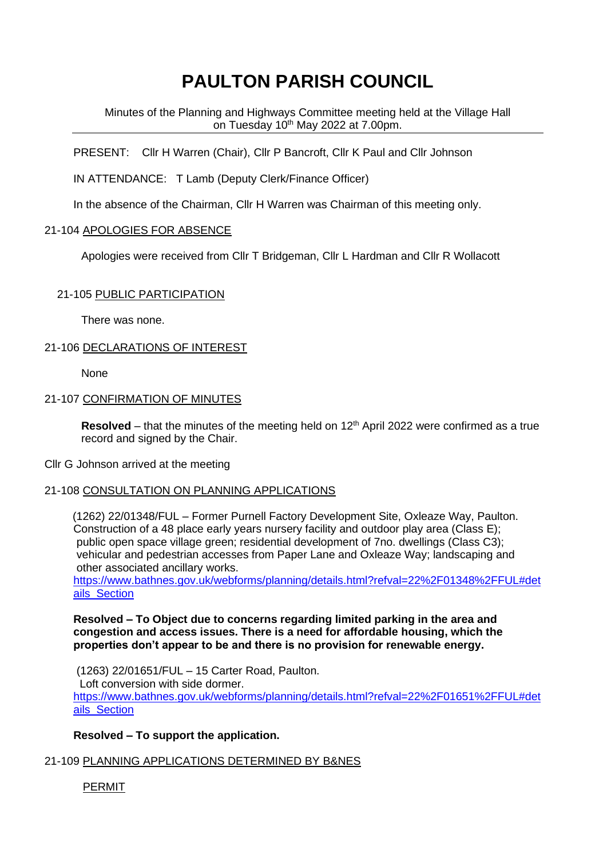# **PAULTON PARISH COUNCIL**

Minutes of the Planning and Highways Committee meeting held at the Village Hall on Tuesday 10<sup>th</sup> May 2022 at 7.00pm.

PRESENT: Cllr H Warren (Chair), Cllr P Bancroft, Cllr K Paul and Cllr Johnson

IN ATTENDANCE: T Lamb (Deputy Clerk/Finance Officer)

In the absence of the Chairman, Cllr H Warren was Chairman of this meeting only.

## 21-104 APOLOGIES FOR ABSENCE

Apologies were received from Cllr T Bridgeman, Cllr L Hardman and Cllr R Wollacott

## 21-105 PUBLIC PARTICIPATION

There was none.

## 21-106 DECLARATIONS OF INTEREST

None

# 21-107 CONFIRMATION OF MINUTES

Resolved – that the minutes of the meeting held on 12<sup>th</sup> April 2022 were confirmed as a true record and signed by the Chair.

#### Cllr G Johnson arrived at the meeting

#### 21-108 CONSULTATION ON PLANNING APPLICATIONS

 (1262) 22/01348/FUL – Former Purnell Factory Development Site, Oxleaze Way, Paulton. Construction of a 48 place early years nursery facility and outdoor play area (Class E); public open space village green; residential development of 7no. dwellings (Class C3); vehicular and pedestrian accesses from Paper Lane and Oxleaze Way; landscaping and other associated ancillary works.

https://www.bathnes.gov.uk/webforms/planning/details.html?refval=22%2F01348%2FFUL#det ails Section

**Resolved – To Object due to concerns regarding limited parking in the area and congestion and access issues. There is a need for affordable housing, which the properties don't appear to be and there is no provision for renewable energy.**

(1263) 22/01651/FUL – 15 Carter Road, Paulton. Loft conversion with side dormer. https://www.bathnes.gov.uk/webforms/planning/details.html?refval=22%2F01651%2FFUL#det ails Section

# **Resolved – To support the application.**

# 21-109 PLANNING APPLICATIONS DETERMINED BY B&NES

PERMIT